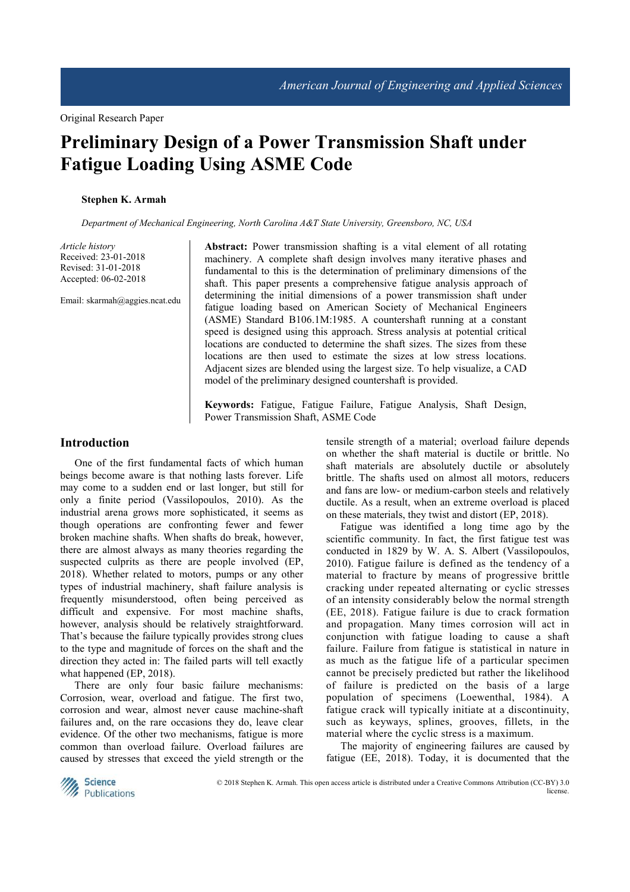Original Research Paper

# **Preliminary Design of a Power Transmission Shaft under Fatigue Loading Using ASME Code**

### **Stephen K. Armah**

*Department of Mechanical Engineering, North Carolina A&T State University, Greensboro, NC, USA* 

*Article history*  Received: 23-01-2018 Revised: 31-01-2018 Accepted: 06-02-2018

Email: skarmah@aggies.ncat.edu

**Abstract:** Power transmission shafting is a vital element of all rotating machinery. A complete shaft design involves many iterative phases and fundamental to this is the determination of preliminary dimensions of the shaft. This paper presents a comprehensive fatigue analysis approach of determining the initial dimensions of a power transmission shaft under fatigue loading based on American Society of Mechanical Engineers (ASME) Standard B106.1M:1985. A countershaft running at a constant speed is designed using this approach. Stress analysis at potential critical locations are conducted to determine the shaft sizes. The sizes from these locations are then used to estimate the sizes at low stress locations. Adjacent sizes are blended using the largest size. To help visualize, a CAD model of the preliminary designed countershaft is provided.

**Keywords:** Fatigue, Fatigue Failure, Fatigue Analysis, Shaft Design, Power Transmission Shaft, ASME Code

# **Introduction**

One of the first fundamental facts of which human beings become aware is that nothing lasts forever. Life may come to a sudden end or last longer, but still for only a finite period (Vassilopoulos, 2010). As the industrial arena grows more sophisticated, it seems as though operations are confronting fewer and fewer broken machine shafts. When shafts do break, however, there are almost always as many theories regarding the suspected culprits as there are people involved (EP, 2018). Whether related to motors, pumps or any other types of industrial machinery, shaft failure analysis is frequently misunderstood, often being perceived as difficult and expensive. For most machine shafts, however, analysis should be relatively straightforward. That's because the failure typically provides strong clues to the type and magnitude of forces on the shaft and the direction they acted in: The failed parts will tell exactly what happened (EP, 2018).

There are only four basic failure mechanisms: Corrosion, wear, overload and fatigue. The first two, corrosion and wear, almost never cause machine-shaft failures and, on the rare occasions they do, leave clear evidence. Of the other two mechanisms, fatigue is more common than overload failure. Overload failures are caused by stresses that exceed the yield strength or the

tensile strength of a material; overload failure depends on whether the shaft material is ductile or brittle. No shaft materials are absolutely ductile or absolutely brittle. The shafts used on almost all motors, reducers and fans are low- or medium-carbon steels and relatively ductile. As a result, when an extreme overload is placed on these materials, they twist and distort (EP, 2018).

Fatigue was identified a long time ago by the scientific community. In fact, the first fatigue test was conducted in 1829 by W. A. S. Albert (Vassilopoulos, 2010). Fatigue failure is defined as the tendency of a material to fracture by means of progressive brittle cracking under repeated alternating or cyclic stresses of an intensity considerably below the normal strength (EE, 2018). Fatigue failure is due to crack formation and propagation. Many times corrosion will act in conjunction with fatigue loading to cause a shaft failure. Failure from fatigue is statistical in nature in as much as the fatigue life of a particular specimen cannot be precisely predicted but rather the likelihood of failure is predicted on the basis of a large population of specimens (Loewenthal, 1984). A fatigue crack will typically initiate at a discontinuity, such as keyways, splines, grooves, fillets, in the material where the cyclic stress is a maximum.

The majority of engineering failures are caused by fatigue (EE, 2018). Today, it is documented that the



 © 2018 Stephen K. Armah. This open access article is distributed under a Creative Commons Attribution (CC-BY) 3.0 license.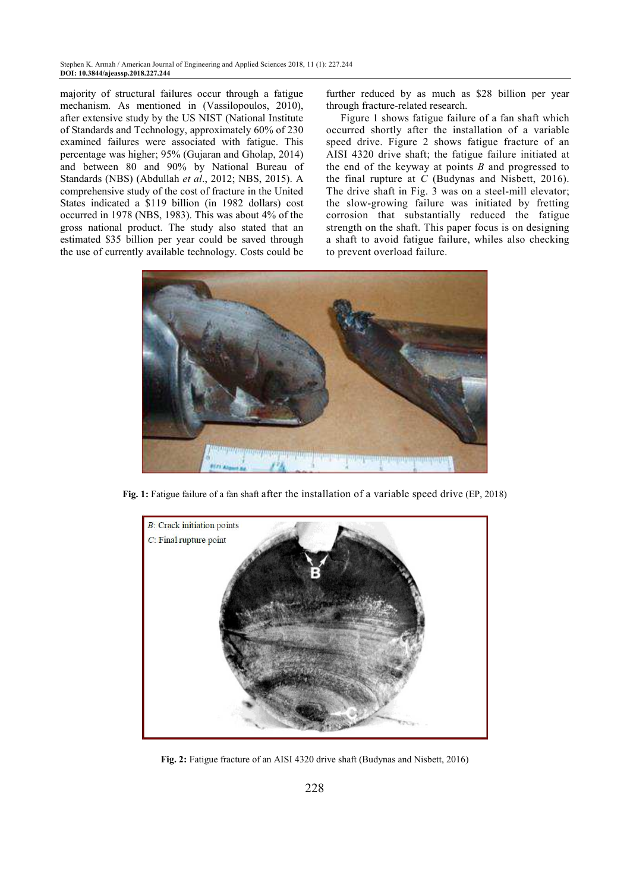majority of structural failures occur through a fatigue mechanism. As mentioned in (Vassilopoulos, 2010), after extensive study by the US NIST (National Institute of Standards and Technology, approximately 60% of 230 examined failures were associated with fatigue. This percentage was higher; 95% (Gujaran and Gholap, 2014) and between 80 and 90% by National Bureau of Standards (NBS) (Abdullah *et al*., 2012; NBS, 2015). A comprehensive study of the cost of fracture in the United States indicated a \$119 billion (in 1982 dollars) cost occurred in 1978 (NBS, 1983). This was about 4% of the gross national product. The study also stated that an estimated \$35 billion per year could be saved through the use of currently available technology. Costs could be

further reduced by as much as \$28 billion per year through fracture-related research.

Figure 1 shows fatigue failure of a fan shaft which occurred shortly after the installation of a variable speed drive. Figure 2 shows fatigue fracture of an AISI 4320 drive shaft; the fatigue failure initiated at the end of the keyway at points *B* and progressed to the final rupture at *C* (Budynas and Nisbett, 2016). The drive shaft in Fig. 3 was on a steel-mill elevator; the slow-growing failure was initiated by fretting corrosion that substantially reduced the fatigue strength on the shaft. This paper focus is on designing a shaft to avoid fatigue failure, whiles also checking to prevent overload failure.



**Fig. 1:** Fatigue failure of a fan shaft after the installation of a variable speed drive (EP, 2018)



**Fig. 2:** Fatigue fracture of an AISI 4320 drive shaft (Budynas and Nisbett, 2016)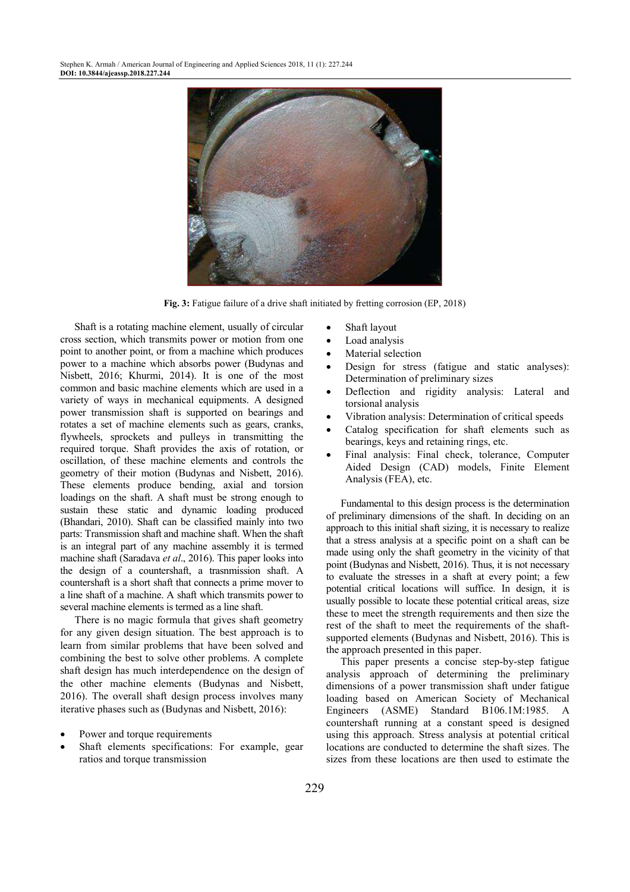

**Fig. 3:** Fatigue failure of a drive shaft initiated by fretting corrosion (EP, 2018)

Shaft is a rotating machine element, usually of circular cross section, which transmits power or motion from one point to another point, or from a machine which produces power to a machine which absorbs power (Budynas and Nisbett, 2016; Khurmi, 2014). It is one of the most common and basic machine elements which are used in a variety of ways in mechanical equipments. A designed power transmission shaft is supported on bearings and rotates a set of machine elements such as gears, cranks, flywheels, sprockets and pulleys in transmitting the required torque. Shaft provides the axis of rotation, or oscillation, of these machine elements and controls the geometry of their motion (Budynas and Nisbett, 2016). These elements produce bending, axial and torsion loadings on the shaft. A shaft must be strong enough to sustain these static and dynamic loading produced (Bhandari, 2010). Shaft can be classified mainly into two parts: Transmission shaft and machine shaft. When the shaft is an integral part of any machine assembly it is termed machine shaft (Saradava *et al*., 2016). This paper looks into the design of a countershaft, a trasnmission shaft. A countershaft is a short shaft that connects a prime mover to a line shaft of a machine. A shaft which transmits power to several machine elements is termed as a line shaft.

There is no magic formula that gives shaft geometry for any given design situation. The best approach is to learn from similar problems that have been solved and combining the best to solve other problems. A complete shaft design has much interdependence on the design of the other machine elements (Budynas and Nisbett, 2016). The overall shaft design process involves many iterative phases such as (Budynas and Nisbett, 2016):

- Power and torque requirements
- Shaft elements specifications: For example, gear ratios and torque transmission
- Shaft layout
- Load analysis
- Material selection
- Design for stress (fatigue and static analyses): Determination of preliminary sizes
- Deflection and rigidity analysis: Lateral and torsional analysis
- Vibration analysis: Determination of critical speeds
- Catalog specification for shaft elements such as bearings, keys and retaining rings, etc.
- Final analysis: Final check, tolerance, Computer Aided Design (CAD) models, Finite Element Analysis (FEA), etc.

Fundamental to this design process is the determination of preliminary dimensions of the shaft. In deciding on an approach to this initial shaft sizing, it is necessary to realize that a stress analysis at a specific point on a shaft can be made using only the shaft geometry in the vicinity of that point (Budynas and Nisbett, 2016). Thus, it is not necessary to evaluate the stresses in a shaft at every point; a few potential critical locations will suffice. In design, it is usually possible to locate these potential critical areas, size these to meet the strength requirements and then size the rest of the shaft to meet the requirements of the shaftsupported elements (Budynas and Nisbett, 2016). This is the approach presented in this paper.

This paper presents a concise step-by-step fatigue analysis approach of determining the preliminary dimensions of a power transmission shaft under fatigue loading based on American Society of Mechanical Engineers (ASME) Standard B106.1M:1985. A countershaft running at a constant speed is designed using this approach. Stress analysis at potential critical locations are conducted to determine the shaft sizes. The sizes from these locations are then used to estimate the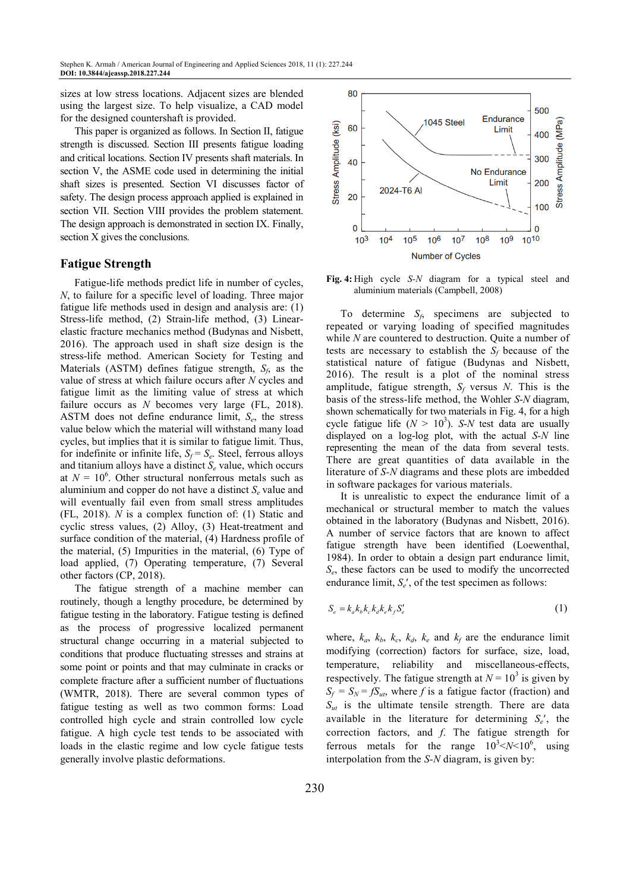sizes at low stress locations. Adjacent sizes are blended using the largest size. To help visualize, a CAD model for the designed countershaft is provided.

This paper is organized as follows. In Section II, fatigue strength is discussed. Section III presents fatigue loading and critical locations. Section IV presents shaft materials. In section V, the ASME code used in determining the initial shaft sizes is presented. Section VI discusses factor of safety. The design process approach applied is explained in section VII. Section VIII provides the problem statement. The design approach is demonstrated in section IX. Finally, section X gives the conclusions.

# **Fatigue Strength**

Fatigue-life methods predict life in number of cycles, *N*, to failure for a specific level of loading. Three major fatigue life methods used in design and analysis are: (1) Stress-life method, (2) Strain-life method, (3) Linearelastic fracture mechanics method (Budynas and Nisbett, 2016). The approach used in shaft size design is the stress-life method. American Society for Testing and Materials (ASTM) defines fatigue strength, *S<sup>f</sup>* , as the value of stress at which failure occurs after *N* cycles and fatigue limit as the limiting value of stress at which failure occurs as *N* becomes very large (FL, 2018). ASTM does not define endurance limit, *S<sup>e</sup>* , the stress value below which the material will withstand many load cycles, but implies that it is similar to fatigue limit. Thus, for indefinite or infinite life,  $S_f = S_e$ . Steel, ferrous alloys and titanium alloys have a distinct  $S_e$  value, which occurs at  $N = 10^6$ . Other structural nonferrous metals such as aluminium and copper do not have a distinct *S<sup>e</sup>* value and will eventually fail even from small stress amplitudes (FL, 2018). *N* is a complex function of: (1) Static and cyclic stress values, (2) Alloy, (3) Heat-treatment and surface condition of the material, (4) Hardness profile of the material, (5) Impurities in the material, (6) Type of load applied, (7) Operating temperature, (7) Several other factors (CP, 2018).

The fatigue strength of a machine member can routinely, though a lengthy procedure, be determined by fatigue testing in the laboratory. Fatigue testing is defined as the process of progressive localized permanent structural change occurring in a material subjected to conditions that produce fluctuating stresses and strains at some point or points and that may culminate in cracks or complete fracture after a sufficient number of fluctuations (WMTR, 2018). There are several common types of fatigue testing as well as two common forms: Load controlled high cycle and strain controlled low cycle fatigue. A high cycle test tends to be associated with loads in the elastic regime and low cycle fatigue tests generally involve plastic deformations.



**Fig. 4:** High cycle *S-N* diagram for a typical steel and aluminium materials (Campbell, 2008)

To determine *S<sup>f</sup>* , specimens are subjected to repeated or varying loading of specified magnitudes while *N* are countered to destruction. Quite a number of tests are necessary to establish the  $S_f$  because of the statistical nature of fatigue (Budynas and Nisbett, 2016). The result is a plot of the nominal stress amplitude, fatigue strength, *S<sup>f</sup>* versus *N*. This is the basis of the stress-life method, the Wohler *S*-*N* diagram, shown schematically for two materials in Fig. 4, for a high cycle fatigue life  $(N > 10^3)$ . *S-N* test data are usually displayed on a log-log plot, with the actual *S-N* line representing the mean of the data from several tests. There are great quantities of data available in the literature of *S-N* diagrams and these plots are imbedded in software packages for various materials.

It is unrealistic to expect the endurance limit of a mechanical or structural member to match the values obtained in the laboratory (Budynas and Nisbett, 2016). A number of service factors that are known to affect fatigue strength have been identified (Loewenthal, 1984). In order to obtain a design part endurance limit, *Se* , these factors can be used to modify the uncorrected endurance limit,  $S_e'$ , of the test specimen as follows:

$$
S_e = k_a k_b k_c k_d k_e k_f S'_e \tag{1}
$$

where,  $k_a$ ,  $k_b$ ,  $k_c$ ,  $k_d$ ,  $k_e$  and  $k_f$  are the endurance limit modifying (correction) factors for surface, size, load, temperature, reliability and miscellaneous-effects, respectively. The fatigue strength at  $N = 10<sup>3</sup>$  is given by  $S_f = S_N = fS_{ut}$ , where *f* is a fatigue factor (fraction) and  $S_{ut}$  is the ultimate tensile strength. There are data available in the literature for determining  $S_e'$ , the correction factors, and *f*. The fatigue strength for ferrous metals for the range  $10^3 < N < 10^6$ , using interpolation from the *S-N* diagram, is given by: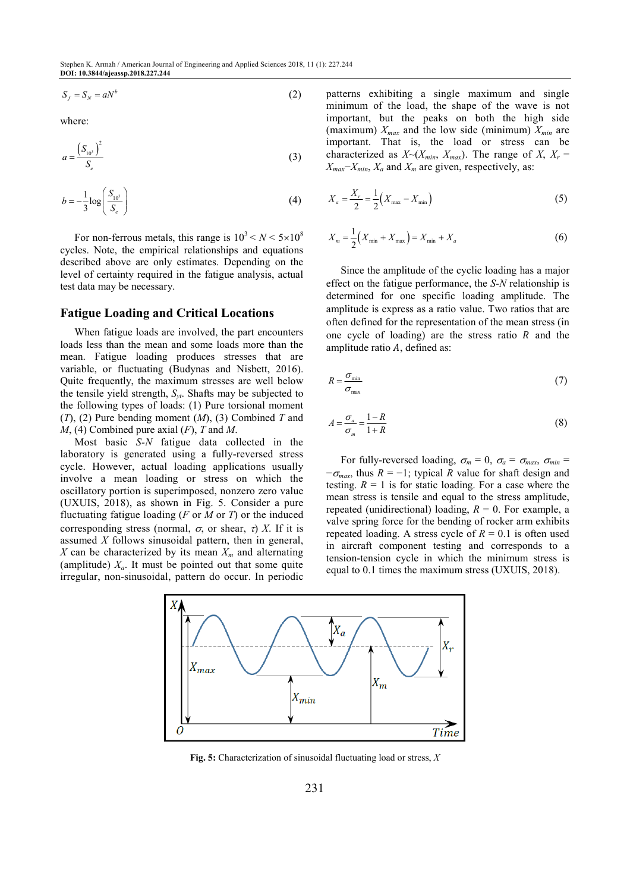$$
S_f = S_N = aN^b \tag{2}
$$

where:

$$
a = \frac{(S_{10^3})^2}{S_e}
$$
 (3)

$$
b = -\frac{1}{3}\log\left(\frac{S_{10^3}}{S_e}\right) \tag{4}
$$

For non-ferrous metals, this range is  $10^3 < N < 5 \times 10^8$ cycles. Note, the empirical relationships and equations described above are only estimates. Depending on the level of certainty required in the fatigue analysis, actual test data may be necessary.

# **Fatigue Loading and Critical Locations**

When fatigue loads are involved, the part encounters loads less than the mean and some loads more than the mean. Fatigue loading produces stresses that are variable, or fluctuating (Budynas and Nisbett, 2016). Quite frequently, the maximum stresses are well below the tensile yield strength, *Syt*. Shafts may be subjected to the following types of loads: (1) Pure torsional moment (*T*), (2) Pure bending moment (*M*), (3) Combined *T* and *M*, (4) Combined pure axial (*F*), *T* and *M*.

Most basic *S-N* fatigue data collected in the laboratory is generated using a fully-reversed stress cycle. However, actual loading applications usually involve a mean loading or stress on which the oscillatory portion is superimposed, nonzero zero value (UXUIS, 2018), as shown in Fig. 5. Consider a pure fluctuating fatigue loading (*F* or *M* or *T*) or the induced corresponding stress (normal,  $\sigma$ , or shear,  $\tau$ ) *X*. If it is assumed *X* follows sinusoidal pattern, then in general, X can be characterized by its mean  $X_m$  and alternating (amplitude)  $X_a$ . It must be pointed out that some quite irregular, non-sinusoidal, pattern do occur. In periodic patterns exhibiting a single maximum and single minimum of the load, the shape of the wave is not important, but the peaks on both the high side (maximum)  $X_{max}$  and the low side (minimum)  $X_{min}$  are important. That is, the load or stress can be characterized as  $X \sim (X_{min}, X_{max})$ . The range of *X*,  $X_r =$  $X_{max} - X_{min}$ ,  $X_a$  and  $X_m$  are given, respectively, as:

$$
X_a = \frac{X_r}{2} = \frac{1}{2} \left( X_{\text{max}} - X_{\text{min}} \right)
$$
 (5)

$$
X_m = \frac{1}{2} \left( X_{\min} + X_{\max} \right) = X_{\min} + X_a \tag{6}
$$

Since the amplitude of the cyclic loading has a major effect on the fatigue performance, the *S-N* relationship is determined for one specific loading amplitude. The amplitude is express as a ratio value. Two ratios that are often defined for the representation of the mean stress (in one cycle of loading) are the stress ratio  $R$  and the amplitude ratio  $A$ , defined as:

$$
R = \frac{\sigma_{\min}}{\sigma_{\max}}\tag{7}
$$

$$
A = \frac{\sigma_a}{\sigma_m} = \frac{1 - R}{1 + R} \tag{8}
$$

For fully-reversed loading,  $\sigma_m = 0$ ,  $\sigma_a = \sigma_{max}$ ,  $\sigma_{min} =$  $-\sigma_{max}$ , thus  $R = -1$ ; typical *R* value for shaft design and testing.  $R = 1$  is for static loading. For a case where the mean stress is tensile and equal to the stress amplitude, repeated (unidirectional) loading,  $R = 0$ . For example, a valve spring force for the bending of rocker arm exhibits repeated loading. A stress cycle of  $R = 0.1$  is often used in aircraft component testing and corresponds to a tension-tension cycle in which the minimum stress is equal to 0.1 times the maximum stress (UXUIS, 2018).



**Fig. 5:** Characterization of sinusoidal fluctuating load or stress, *X*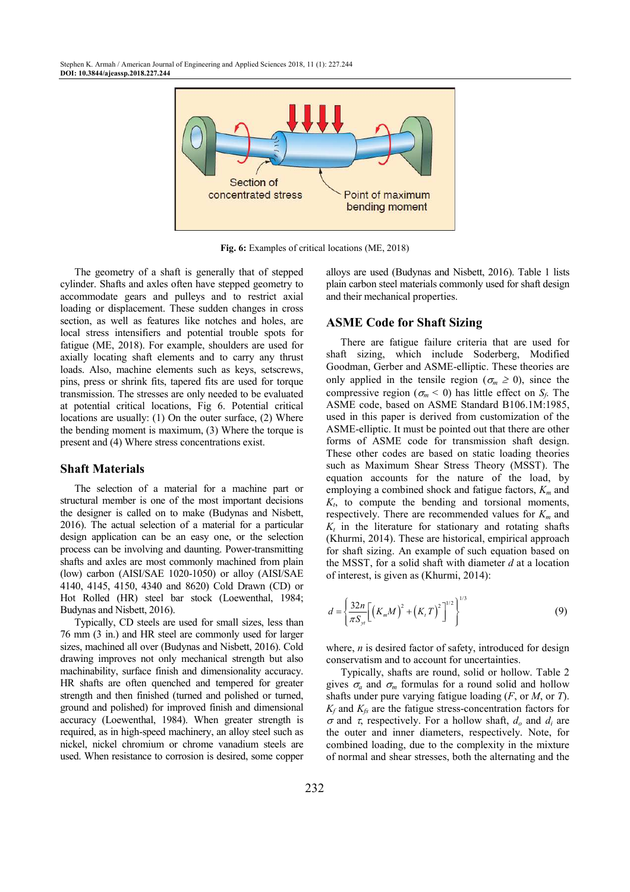

**Fig. 6:** Examples of critical locations (ME, 2018)

The geometry of a shaft is generally that of stepped cylinder. Shafts and axles often have stepped geometry to accommodate gears and pulleys and to restrict axial loading or displacement. These sudden changes in cross section, as well as features like notches and holes, are local stress intensifiers and potential trouble spots for fatigue (ME, 2018). For example, shoulders are used for axially locating shaft elements and to carry any thrust loads. Also, machine elements such as keys, setscrews, pins, press or shrink fits, tapered fits are used for torque transmission. The stresses are only needed to be evaluated at potential critical locations, Fig 6. Potential critical locations are usually: (1) On the outer surface, (2) Where the bending moment is maximum, (3) Where the torque is present and (4) Where stress concentrations exist.

# **Shaft Materials**

The selection of a material for a machine part or structural member is one of the most important decisions the designer is called on to make (Budynas and Nisbett, 2016). The actual selection of a material for a particular design application can be an easy one, or the selection process can be involving and daunting. Power-transmitting shafts and axles are most commonly machined from plain (low) carbon (AISI/SAE 1020-1050) or alloy (AISI/SAE 4140, 4145, 4150, 4340 and 8620) Cold Drawn (CD) or Hot Rolled (HR) steel bar stock (Loewenthal, 1984; Budynas and Nisbett, 2016).

Typically, CD steels are used for small sizes, less than 76 mm (3 in.) and HR steel are commonly used for larger sizes, machined all over (Budynas and Nisbett, 2016). Cold drawing improves not only mechanical strength but also machinability, surface finish and dimensionality accuracy. HR shafts are often quenched and tempered for greater strength and then finished (turned and polished or turned, ground and polished) for improved finish and dimensional accuracy (Loewenthal, 1984). When greater strength is required, as in high-speed machinery, an alloy steel such as nickel, nickel chromium or chrome vanadium steels are used. When resistance to corrosion is desired, some copper alloys are used (Budynas and Nisbett, 2016). Table 1 lists plain carbon steel materials commonly used for shaft design and their mechanical properties.

# **ASME Code for Shaft Sizing**

There are fatigue failure criteria that are used for shaft sizing, which include Soderberg, Modified Goodman, Gerber and ASME-elliptic. These theories are only applied in the tensile region ( $\sigma_m \geq 0$ ), since the compressive region ( $\sigma_m$  < 0) has little effect on  $S_f$ . The ASME code, based on ASME Standard B106.1M:1985, used in this paper is derived from customization of the ASME-elliptic. It must be pointed out that there are other forms of ASME code for transmission shaft design. These other codes are based on static loading theories such as Maximum Shear Stress Theory (MSST). The equation accounts for the nature of the load, by employing a combined shock and fatigue factors, *Km* and  $K_t$ , to compute the bending and torsional moments, respectively. There are recommended values for *K<sup>m</sup>* and  $K_t$  in the literature for stationary and rotating shafts (Khurmi, 2014). These are historical, empirical approach for shaft sizing. An example of such equation based on the MSST, for a solid shaft with diameter *d* at a location of interest, is given as (Khurmi, 2014):

$$
d = \left\{ \frac{32n}{\pi S_{yt}} \Big[ \big(K_m M\big)^2 + \big(K_t T\big)^2 \Big]^{1/2} \right\}^{1/3}
$$
(9)

where, *n* is desired factor of safety, introduced for design conservatism and to account for uncertainties.

Typically, shafts are round, solid or hollow. Table 2 gives  $\sigma_a$  and  $\sigma_m$  formulas for a round solid and hollow shafts under pure varying fatigue loading (*F*, or *M*, or *T*). *Kf* and *Kfs* are the fatigue stress-concentration factors for  $\sigma$  and  $\tau$ , respectively. For a hollow shaft,  $d_o$  and  $d_i$  are the outer and inner diameters, respectively. Note, for combined loading, due to the complexity in the mixture of normal and shear stresses, both the alternating and the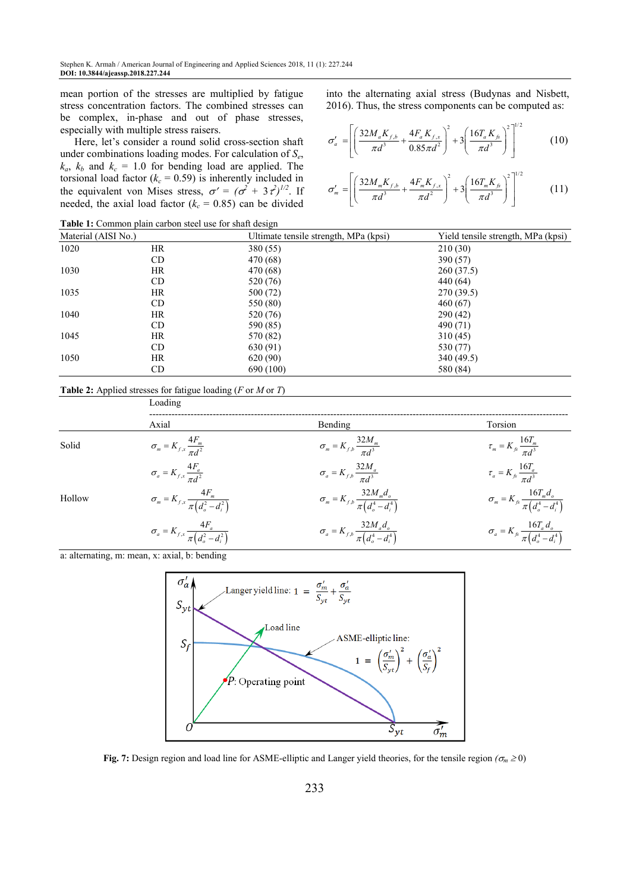mean portion of the stresses are multiplied by fatigue stress concentration factors. The combined stresses can be complex, in-phase and out of phase stresses, especially with multiple stress raisers.

Here, let's consider a round solid cross-section shaft under combinations loading modes. For calculation of *S<sup>e</sup>* ,  $k_a$ ,  $k_b$  and  $k_c = 1.0$  for bending load are applied. The torsional load factor  $(k_c = 0.59)$  is inherently included in the equivalent von Mises stress,  $\sigma' = (\sigma^2 + 3\tau^2)^{1/2}$ . If needed, the axial load factor  $(k_c = 0.85)$  can be divided

into the alternating axial stress (Budynas and Nisbett, 2016). Thus, the stress components can be computed as:

$$
\sigma'_{a} = \left[ \left( \frac{32 M_{a} K_{f,b}}{\pi d^{3}} + \frac{4 F_{a} K_{f,x}}{0.85 \pi d^{2}} \right)^{2} + 3 \left( \frac{16 T_{a} K_{f,b}}{\pi d^{3}} \right)^{2} \right]^{1/2}
$$
(10)

$$
\sigma'_{m} = \left[ \left( \frac{32 M_{m} K_{f,b}}{\pi d^{3}} + \frac{4 F_{m} K_{f,x}}{\pi d^{2}} \right)^{2} + 3 \left( \frac{16 T_{m} K_{fb}}{\pi d^{3}} \right)^{2} \right]^{1/2}
$$
(11)

**Table 1:** Common plain carbon steel use for shaft design

|                     | <b>Table 1:</b> Common plain carbon steel use for share design |                                       |                                    |
|---------------------|----------------------------------------------------------------|---------------------------------------|------------------------------------|
| Material (AISI No.) |                                                                | Ultimate tensile strength, MPa (kpsi) | Yield tensile strength, MPa (kpsi) |
| 1020                | HR                                                             | 380 (55)                              | 210(30)                            |
|                     | CD.                                                            | 470 (68)                              | 390 (57)                           |
| 1030                | HR                                                             | 470 (68)                              | 260 (37.5)                         |
|                     | CD.                                                            | 520 (76)                              | 440 (64)                           |
| 1035                | HR                                                             | 500 (72)                              | 270 (39.5)                         |
|                     | CD.                                                            | 550 (80)                              | 460 (67)                           |
| 1040                | HR                                                             | 520 (76)                              | 290(42)                            |
|                     | CD.                                                            | 590 (85)                              | 490 (71)                           |
| 1045                | HR                                                             | 570 (82)                              | 310 (45)                           |
|                     | CD.                                                            | 630 (91)                              | 530 (77)                           |
| 1050                | HR.                                                            | 620 (90)                              | 340 (49.5)                         |
|                     | CD                                                             | 690 (100)                             | 580 (84)                           |

**Table 2:** Applied stresses for fatigue loading (*F* or *M* or *T*)

|        | Loading                                                           |                                                                           |                                                                         |
|--------|-------------------------------------------------------------------|---------------------------------------------------------------------------|-------------------------------------------------------------------------|
|        | Axial                                                             | Bending                                                                   | Torsion                                                                 |
| Solid  | $\sigma_m = K_{f,x} \frac{4F_m}{\pi d^2}$                         | $\sigma_m = K_{f,b} \frac{32 M_m}{\sigma^3}$                              | $\tau_{m} = K_{fs} \frac{16T_{m}}{\pi d^{3}}$                           |
|        | $\sigma_a = K_{f,x} \frac{4F_a}{\pi d^2}$                         | $\sigma_{a} = K_{f,b} \frac{32 M_{a}}{\pi d^{3}}$                         | $\tau_{a} = K_{fs} \frac{16T_{a}}{\pi d^{3}}$                           |
| Hollow | $\sigma_m = K_{f,x} \frac{4F_m}{\pi (d_o^2 - d_i^2)}$             | $\sigma_m = K_{f,b} \frac{32 M_m d_o}{\pi (d_o^4 - d_i^4)}$               | $\sigma_m = K_{fs} \frac{16T_m d_o}{\pi (d_o^4 - d_i^4)}$               |
|        | $\sigma_{a} = K_{f,x} \frac{4F_{a}}{\pi (d_{o}^{2} - d_{i}^{2})}$ | $\sigma_{a} = K_{f,b} \frac{32 M_{a} d_{o}}{\pi (d_{o}^{4} - d_{i}^{4})}$ | $\sigma_{a} = K_{fs} \frac{16T_{a} d_{o}}{\pi (d_{o}^{4} - d_{i}^{4})}$ |

a: alternating, m: mean, x: axial, b: bending



**Fig. 7:** Design region and load line for ASME-elliptic and Langer yield theories, for the tensile region  $(\sigma_m \ge 0)$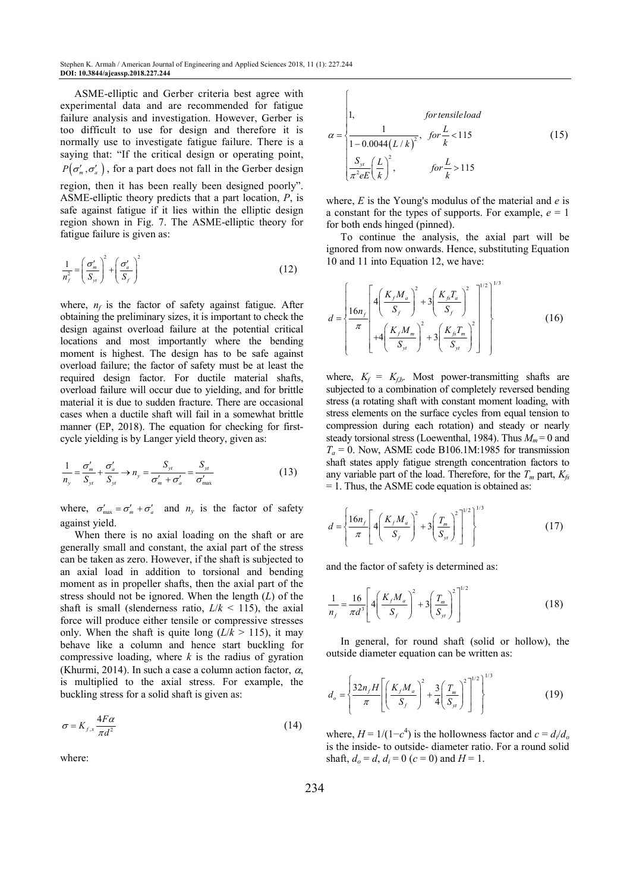ASME-elliptic and Gerber criteria best agree with experimental data and are recommended for fatigue failure analysis and investigation. However, Gerber is too difficult to use for design and therefore it is normally use to investigate fatigue failure. There is a saying that: "If the critical design or operating point,  $P(\sigma'_m, \sigma'_a)$ , for a part does not fall in the Gerber design region, then it has been really been designed poorly". ASME-elliptic theory predicts that a part location, *P*, is safe against fatigue if it lies within the elliptic design region shown in Fig. 7. The ASME-elliptic theory for fatigue failure is given as:

$$
\frac{1}{n_f^2} = \left(\frac{\sigma'_m}{S_{\gamma t}}\right)^2 + \left(\frac{\sigma'_a}{S_f}\right)^2 \tag{12}
$$

where,  $n_f$  is the factor of safety against fatigue. After obtaining the preliminary sizes, it is important to check the design against overload failure at the potential critical locations and most importantly where the bending moment is highest. The design has to be safe against overload failure; the factor of safety must be at least the required design factor. For ductile material shafts, overload failure will occur due to yielding, and for brittle material it is due to sudden fracture. There are occasional cases when a ductile shaft will fail in a somewhat brittle manner (EP, 2018). The equation for checking for firstcycle yielding is by Langer yield theory, given as:

$$
\frac{1}{n_y} = \frac{\sigma'_m}{S_{yt}} + \frac{\sigma'_a}{S_{yt}} \rightarrow n_y = \frac{S_{yt}}{\sigma'_m + \sigma'_a} = \frac{S_{yt}}{\sigma'_{max}}
$$
(13)

where,  $\sigma'_{\text{max}} = \sigma'_{m} + \sigma'_{a}$  and  $n_y$  is the factor of safety against yield.

When there is no axial loading on the shaft or are generally small and constant, the axial part of the stress can be taken as zero. However, if the shaft is subjected to an axial load in addition to torsional and bending moment as in propeller shafts, then the axial part of the stress should not be ignored. When the length (*L*) of the shaft is small (slenderness ratio,  $L/k < 115$ ), the axial force will produce either tensile or compressive stresses only. When the shaft is quite long  $(L/k > 115)$ , it may behave like a column and hence start buckling for compressive loading, where  $k$  is the radius of gyration (Khurmi, 2014). In such a case a column action factor,  $\alpha$ , is multiplied to the axial stress. For example, the buckling stress for a solid shaft is given as:

$$
\sigma = K_{f,x} \frac{4F\alpha}{\pi d^2} \tag{14}
$$

where:

$$
\alpha = \begin{cases}\n1, & \text{for tensile load} \\
\frac{1}{1 - 0.0044(L/k)^{2}}, & \text{for } \frac{L}{k} < 115 \\
\frac{S_{\text{yr}}}{\pi^{2}eE} \left(\frac{L}{k}\right)^{2}, & \text{for } \frac{L}{k} > 115\n\end{cases}
$$
(15)

 $\epsilon$ 

where, *E* is the Young's modulus of the material and *e* is a constant for the types of supports. For example,  $e = 1$ for both ends hinged (pinned).

To continue the analysis, the axial part will be ignored from now onwards. Hence, substituting Equation 10 and 11 into Equation 12, we have:

$$
d = \left\{ \frac{16n_f}{\pi} \left[ 4 \left( \frac{K_f M_a}{S_f} \right)^2 + 3 \left( \frac{K_g T_a}{S_f} \right)^2 \right]^{1/2} \right\}^{1/3}
$$
  
+4 $\left( \frac{K_f M_m}{S_{\gamma t}} \right)^2 + 3 \left( \frac{K_g T_m}{S_{\gamma t}} \right)^2 \right\}$  (16)

where,  $K_f = K_{fb}$ . Most power-transmitting shafts are subjected to a combination of completely reversed bending stress (a rotating shaft with constant moment loading, with stress elements on the surface cycles from equal tension to compression during each rotation) and steady or nearly steady torsional stress (Loewenthal, 1984). Thus  $M_m = 0$  and  $T_a = 0$ . Now, ASME code B106.1M:1985 for transmission shaft states apply fatigue strength concentration factors to any variable part of the load. Therefore, for the  $T_m$  part,  $K_f$ = 1. Thus, the ASME code equation is obtained as:

$$
d = \left\{ \frac{16n_f}{\pi} \left[ 4 \left( \frac{K_f M_a}{S_f} \right)^2 + 3 \left( \frac{T_m}{S_{y_i}} \right)^2 \right]^{1/2} \right\}^{1/3}
$$
(17)

and the factor of safety is determined as:

$$
\frac{1}{n_f} = \frac{16}{\pi d^3} \left[ 4 \left( \frac{K_f M_a}{S_f} \right)^2 + 3 \left( \frac{T_m}{S_{yI}} \right)^2 \right]^{1/2}
$$
(18)

In general, for round shaft (solid or hollow), the outside diameter equation can be written as:

$$
d_o = \left\{ \frac{32n_f H}{\pi} \left[ \left( \frac{K_f M_a}{S_f} \right)^2 + \frac{3}{4} \left( \frac{T_m}{S_{yI}} \right)^2 \right]^{1/2} \right\}^{1/3}
$$
(19)

where,  $H = 1/(1 - c^4)$  is the hollowness factor and  $c = d_i/d_o$ is the inside- to outside- diameter ratio. For a round solid shaft,  $d_o = d$ ,  $d_i = 0$  ( $c = 0$ ) and  $H = 1$ .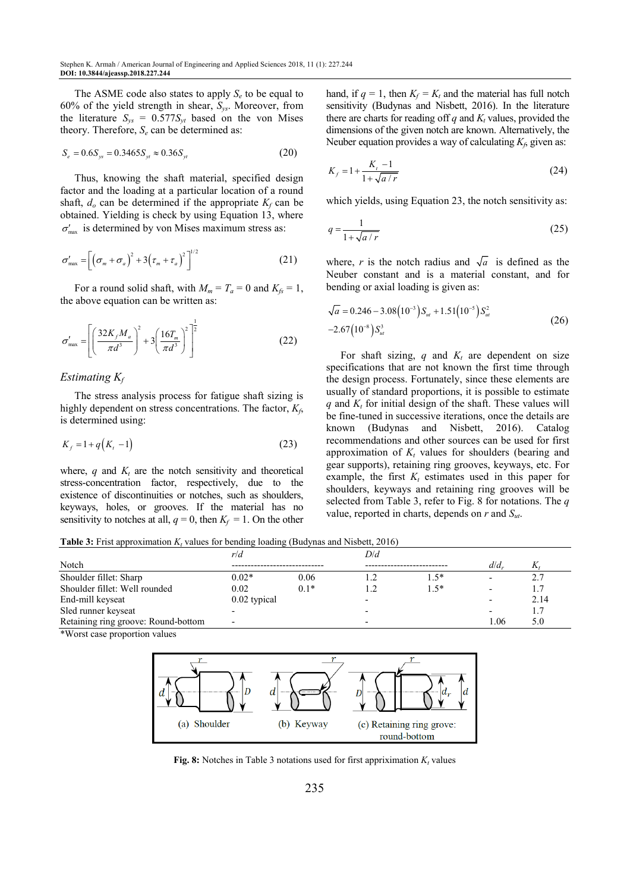The ASME code also states to apply  $S_e$  to be equal to 60% of the yield strength in shear, *Sys*. Moreover, from the literature  $S_{\gamma s} = 0.577 S_{\gamma t}$  based on the von Mises theory. Therefore,  $S_e$  can be determined as:

$$
S_e = 0.6S_{ys} = 0.3465S_{yt} \approx 0.36S_{yt}
$$
 (20)

Thus, knowing the shaft material, specified design factor and the loading at a particular location of a round shaft,  $d<sub>o</sub>$  can be determined if the appropriate  $K_f$  can be obtained. Yielding is check by using Equation 13, where  $\sigma'_{\text{max}}$  is determined by von Mises maximum stress as:

$$
\sigma'_{\max} = \left[ \left( \sigma_m + \sigma_a \right)^2 + 3 \left( \tau_m + \tau_a \right)^2 \right]^{1/2} \tag{21}
$$

For a round solid shaft, with  $M_m = T_a = 0$  and  $K_{fs} = 1$ , the above equation can be written as:

$$
\sigma'_{\max} = \left[ \left( \frac{32K_f M_a}{\pi d^3} \right)^2 + 3 \left( \frac{16T_m}{\pi d^3} \right)^2 \right]^{-\frac{1}{2}} \tag{22}
$$

# *Estimating K<sup>f</sup>*

The stress analysis process for fatigue shaft sizing is highly dependent on stress concentrations. The factor, *K<sup>f</sup>* , is determined using:

$$
K_f = 1 + q(K_t - 1) \tag{23}
$$

where,  $q$  and  $K_t$  are the notch sensitivity and theoretical stress-concentration factor, respectively, due to the existence of discontinuities or notches, such as shoulders, keyways, holes, or grooves. If the material has no sensitivity to notches at all,  $q = 0$ , then  $K_f = 1$ . On the other

hand, if  $q = 1$ , then  $K_f = K_t$  and the material has full notch sensitivity (Budynas and Nisbett, 2016). In the literature there are charts for reading off  $q$  and  $K_t$  values, provided the dimensions of the given notch are known. Alternatively, the Neuber equation provides a way of calculating  $K_f$ , given as:

$$
K_f = 1 + \frac{K_t - 1}{1 + \sqrt{a/r}}\tag{24}
$$

which yields, using Equation 23, the notch sensitivity as:

$$
q = \frac{1}{1 + \sqrt{a/r}}\tag{25}
$$

where, *r* is the notch radius and  $\sqrt{a}$  is defined as the Neuber constant and is a material constant, and for bending or axial loading is given as:

$$
\sqrt{a} = 0.246 - 3.08(10^{-3})S_{ut} + 1.51(10^{-5})S_{ut}^{2}
$$
  
-2.67(10<sup>-8</sup>)S<sub>ut</sub><sup>3</sup> (26)

For shaft sizing,  $q$  and  $K_t$  are dependent on size specifications that are not known the first time through the design process. Fortunately, since these elements are usually of standard proportions, it is possible to estimate *q* and *K<sup>t</sup>* for initial design of the shaft. These values will be fine-tuned in successive iterations, once the details are known (Budynas and Nisbett, 2016). Catalog recommendations and other sources can be used for first approximation of  $K_t$  values for shoulders (bearing and gear supports), retaining ring grooves, keyways, etc. For example, the first  $K_t$  estimates used in this paper for shoulders, keyways and retaining ring grooves will be selected from Table 3, refer to Fig. 8 for notations. The *q* value, reported in charts, depends on *r* and *Sut*.

**Table 3:** Frist approximation  $K_t$  values for bending loading (Budynas and Nisbett, 2016)

|                                     | r/d                      |        | D/d |        |      |      |
|-------------------------------------|--------------------------|--------|-----|--------|------|------|
| Notch                               |                          |        |     |        | d/d. | Λ,   |
| Shoulder fillet: Sharp              | $0.02*$                  | 0.06   |     | $1.5*$ | -    | 2.7  |
| Shoulder fillet: Well rounded       | 0.02                     | $0.1*$ |     | $1.5*$ |      | 1.7  |
| End-mill keyseat                    | 0.02 typical             |        |     |        |      | 2.14 |
| Sled runner keyseat                 |                          |        |     |        |      | 1.7  |
| Retaining ring groove: Round-bottom | $\overline{\phantom{0}}$ |        |     |        | .06  | 5.0  |

\*Worst case proportion values



**Fig. 8:** Notches in Table 3 notations used for first appriximation  $K_t$  values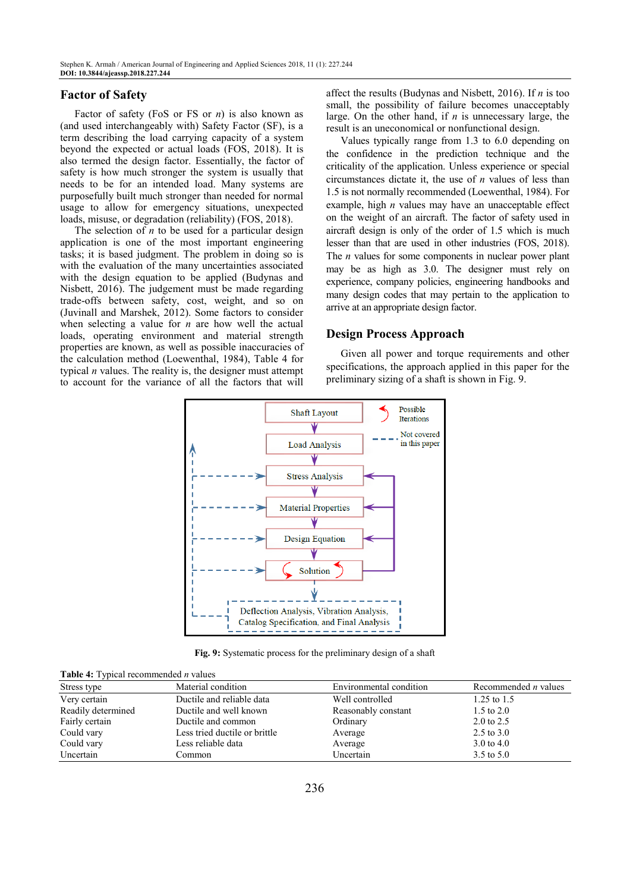# **Factor of Safety**

Factor of safety (FoS or FS or *n*) is also known as (and used interchangeably with) Safety Factor (SF), is a term describing the load carrying capacity of a system beyond the expected or actual loads (FOS, 2018). It is also termed the design factor. Essentially, the factor of safety is how much stronger the system is usually that needs to be for an intended load. Many systems are purposefully built much stronger than needed for normal usage to allow for emergency situations, unexpected loads, misuse, or degradation (reliability) (FOS, 2018).

The selection of *n* to be used for a particular design application is one of the most important engineering tasks; it is based judgment. The problem in doing so is with the evaluation of the many uncertainties associated with the design equation to be applied (Budynas and Nisbett, 2016). The judgement must be made regarding trade-offs between safety, cost, weight, and so on (Juvinall and Marshek, 2012). Some factors to consider when selecting a value for *n* are how well the actual loads, operating environment and material strength properties are known, as well as possible inaccuracies of the calculation method (Loewenthal, 1984), Table 4 for typical *n* values. The reality is, the designer must attempt to account for the variance of all the factors that will

affect the results (Budynas and Nisbett, 2016). If *n* is too small, the possibility of failure becomes unacceptably large. On the other hand, if *n* is unnecessary large, the result is an uneconomical or nonfunctional design.

Values typically range from 1.3 to 6.0 depending on the confidence in the prediction technique and the criticality of the application. Unless experience or special circumstances dictate it, the use of *n* values of less than 1.5 is not normally recommended (Loewenthal, 1984). For example, high *n* values may have an unacceptable effect on the weight of an aircraft. The factor of safety used in aircraft design is only of the order of 1.5 which is much lesser than that are used in other industries (FOS, 2018). The *n* values for some components in nuclear power plant may be as high as 3.0. The designer must rely on experience, company policies, engineering handbooks and many design codes that may pertain to the application to arrive at an appropriate design factor.

# **Design Process Approach**

Given all power and torque requirements and other specifications, the approach applied in this paper for the preliminary sizing of a shaft is shown in Fig. 9.



**Fig. 9:** Systematic process for the preliminary design of a shaft

| Stress type        | Material condition            | Environmental condition | Recommended <i>n</i> values |
|--------------------|-------------------------------|-------------------------|-----------------------------|
| Very certain       | Ductile and reliable data     | Well controlled         | 1.25 to $1.5$               |
| Readily determined | Ductile and well known        | Reasonably constant     | 1.5 to $2.0$                |
| Fairly certain     | Ductile and common            | Ordinary                | $2.0 \text{ to } 2.5$       |
| Could vary         | Less tried ductile or brittle | Average                 | $2.5 \text{ to } 3.0$       |
| Could vary         | Less reliable data            | Average                 | $3.0 \text{ to } 4.0$       |
| Uncertain          | Common                        | Uncertain               | $3.5 \text{ to } 5.0$       |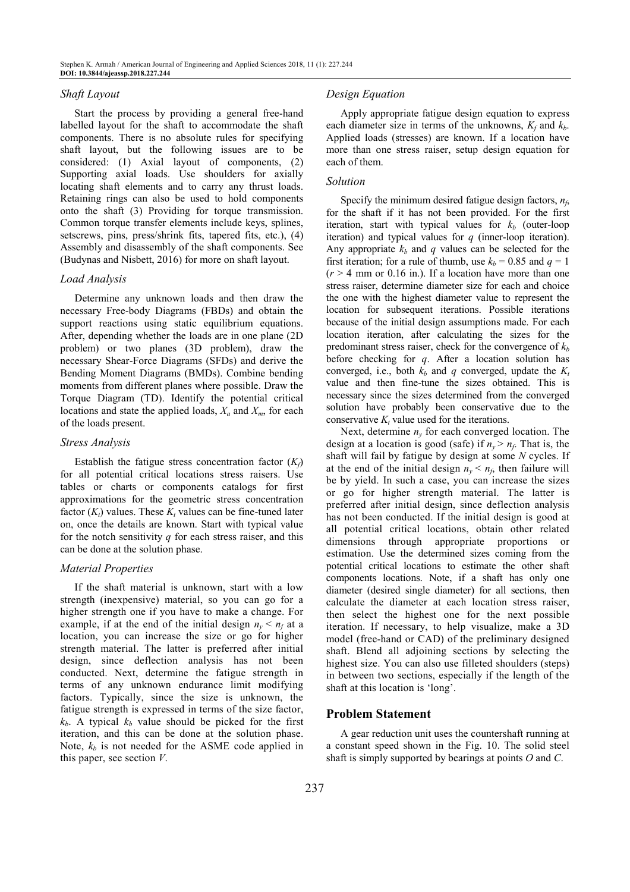### *Shaft Layout*

Start the process by providing a general free-hand labelled layout for the shaft to accommodate the shaft components. There is no absolute rules for specifying shaft layout, but the following issues are to be considered: (1) Axial layout of components, (2) Supporting axial loads. Use shoulders for axially locating shaft elements and to carry any thrust loads. Retaining rings can also be used to hold components onto the shaft (3) Providing for torque transmission. Common torque transfer elements include keys, splines, setscrews, pins, press/shrink fits, tapered fits, etc.), (4) Assembly and disassembly of the shaft components. See (Budynas and Nisbett, 2016) for more on shaft layout.

### *Load Analysis*

Determine any unknown loads and then draw the necessary Free-body Diagrams (FBDs) and obtain the support reactions using static equilibrium equations. After, depending whether the loads are in one plane (2D problem) or two planes (3D problem), draw the necessary Shear-Force Diagrams (SFDs) and derive the Bending Moment Diagrams (BMDs). Combine bending moments from different planes where possible. Draw the Torque Diagram (TD). Identify the potential critical locations and state the applied loads,  $X_a$  and  $X_m$ , for each of the loads present.

# *Stress Analysis*

Establish the fatigue stress concentration factor  $(K_f)$ for all potential critical locations stress raisers. Use tables or charts or components catalogs for first approximations for the geometric stress concentration factor  $(K_t)$  values. These  $K_t$  values can be fine-tuned later on, once the details are known. Start with typical value for the notch sensitivity *q* for each stress raiser, and this can be done at the solution phase.

# *Material Properties*

If the shaft material is unknown, start with a low strength (inexpensive) material, so you can go for a higher strength one if you have to make a change. For example, if at the end of the initial design  $n_y < n_f$  at a location, you can increase the size or go for higher strength material. The latter is preferred after initial design, since deflection analysis has not been conducted. Next, determine the fatigue strength in terms of any unknown endurance limit modifying factors. Typically, since the size is unknown, the fatigue strength is expressed in terms of the size factor,  $k_b$ . A typical  $k_b$  value should be picked for the first iteration, and this can be done at the solution phase. Note,  $k_b$  is not needed for the ASME code applied in this paper, see section *V*.

# *Design Equation*

Apply appropriate fatigue design equation to express each diameter size in terms of the unknowns,  $K_f$  and  $k_b$ . Applied loads (stresses) are known. If a location have more than one stress raiser, setup design equation for each of them.

# *Solution*

Specify the minimum desired fatigue design factors, *n<sup>f</sup>* , for the shaft if it has not been provided. For the first iteration, start with typical values for  $k_b$  (outer-loop iteration) and typical values for *q* (inner-loop iteration). Any appropriate  $k_b$  and  $q$  values can be selected for the first iteration; for a rule of thumb, use  $k_b = 0.85$  and  $q = 1$  $(r > 4$  mm or 0.16 in.). If a location have more than one stress raiser, determine diameter size for each and choice the one with the highest diameter value to represent the location for subsequent iterations. Possible iterations because of the initial design assumptions made. For each location iteration, after calculating the sizes for the predominant stress raiser, check for the convergence of *k<sup>b</sup>* before checking for *q*. After a location solution has converged, i.e., both  $k<sub>b</sub>$  and *q* converged, update the  $K<sub>t</sub>$ value and then fine-tune the sizes obtained. This is necessary since the sizes determined from the converged solution have probably been conservative due to the conservative  $K_t$  value used for the iterations.

Next, determine *n<sup>y</sup>* for each converged location. The design at a location is good (safe) if  $n_y > n_f$ . That is, the shaft will fail by fatigue by design at some *N* cycles. If at the end of the initial design  $n_y < n_f$ , then failure will be by yield. In such a case, you can increase the sizes or go for higher strength material. The latter is preferred after initial design, since deflection analysis has not been conducted. If the initial design is good at all potential critical locations, obtain other related dimensions through appropriate proportions or estimation. Use the determined sizes coming from the potential critical locations to estimate the other shaft components locations. Note, if a shaft has only one diameter (desired single diameter) for all sections, then calculate the diameter at each location stress raiser, then select the highest one for the next possible iteration. If necessary, to help visualize, make a 3D model (free-hand or CAD) of the preliminary designed shaft. Blend all adjoining sections by selecting the highest size. You can also use filleted shoulders (steps) in between two sections, especially if the length of the shaft at this location is 'long'.

# **Problem Statement**

A gear reduction unit uses the countershaft running at a constant speed shown in the Fig. 10. The solid steel shaft is simply supported by bearings at points *O* and *C*.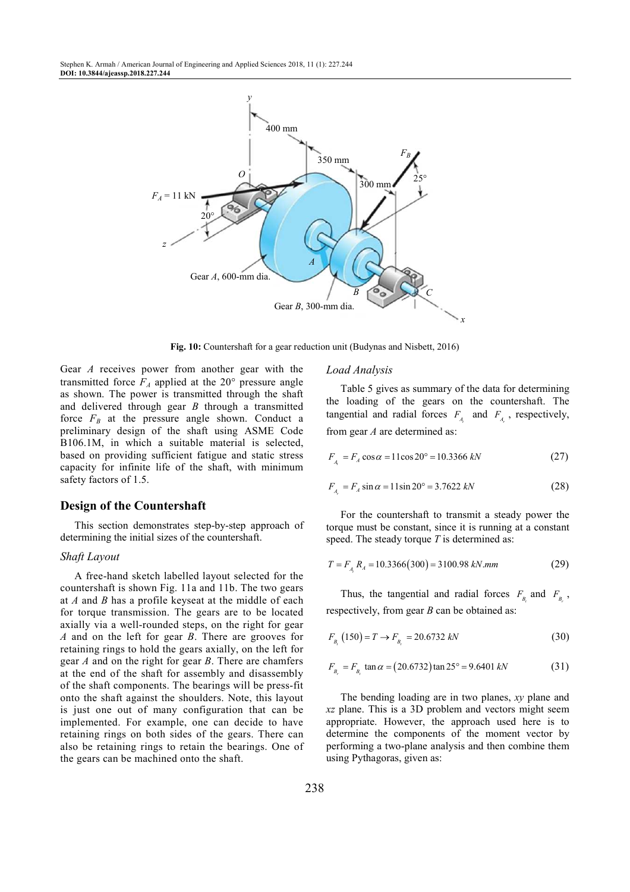

**Fig. 10:** Countershaft for a gear reduction unit (Budynas and Nisbett, 2016)

Gear *A* receives power from another gear with the transmitted force  $F_A$  applied at the 20 $\degree$  pressure angle as shown. The power is transmitted through the shaft and delivered through gear *B* through a transmitted force  $F_B$  at the pressure angle shown. Conduct a preliminary design of the shaft using ASME Code B106.1M, in which a suitable material is selected, based on providing sufficient fatigue and static stress capacity for infinite life of the shaft, with minimum safety factors of 1.5.

### **Design of the Countershaft**

This section demonstrates step-by-step approach of determining the initial sizes of the countershaft.

### *Shaft Layout*

A free-hand sketch labelled layout selected for the countershaft is shown Fig. 11a and 11b. The two gears at *A* and *B* has a profile keyseat at the middle of each for torque transmission. The gears are to be located axially via a well-rounded steps, on the right for gear *A* and on the left for gear *B*. There are grooves for retaining rings to hold the gears axially, on the left for gear *A* and on the right for gear *B*. There are chamfers at the end of the shaft for assembly and disassembly of the shaft components. The bearings will be press-fit onto the shaft against the shoulders. Note, this layout is just one out of many configuration that can be implemented. For example, one can decide to have retaining rings on both sides of the gears. There can also be retaining rings to retain the bearings. One of the gears can be machined onto the shaft.

### *Load Analysis*

Table 5 gives as summary of the data for determining the loading of the gears on the countershaft. The tangential and radial forces  $F_{A<sub>i</sub>}$  and  $F_{A<sub>r</sub>}$ , respectively, from gear *A* are determined as:

$$
F_{A_t} = F_A \cos \alpha = 11 \cos 20^\circ = 10.3366 \ kN \tag{27}
$$

$$
F_{A_r} = F_A \sin \alpha = 11 \sin 20^\circ = 3.7622 \text{ kN}
$$
 (28)

For the countershaft to transmit a steady power the torque must be constant, since it is running at a constant speed. The steady torque *T* is determined as:

$$
T = F_{A_t} R_A = 10.3366(300) = 3100.98 \text{ kN} \cdot m m \tag{29}
$$

Thus, the tangential and radial forces  $F_{B_i}$  and  $F_{B_i}$ , respectively, from gear *B* can be obtained as:

$$
F_{B_t} (150) = T \to F_{B_t} = 20.6732 \, kN \tag{30}
$$

$$
F_{B_r} = F_{B_t} \tan \alpha = (20.6732) \tan 25^\circ = 9.6401 \, kN \tag{31}
$$

The bending loading are in two planes, *xy* plane and *xz* plane. This is a 3D problem and vectors might seem appropriate. However, the approach used here is to determine the components of the moment vector by performing a two-plane analysis and then combine them using Pythagoras, given as: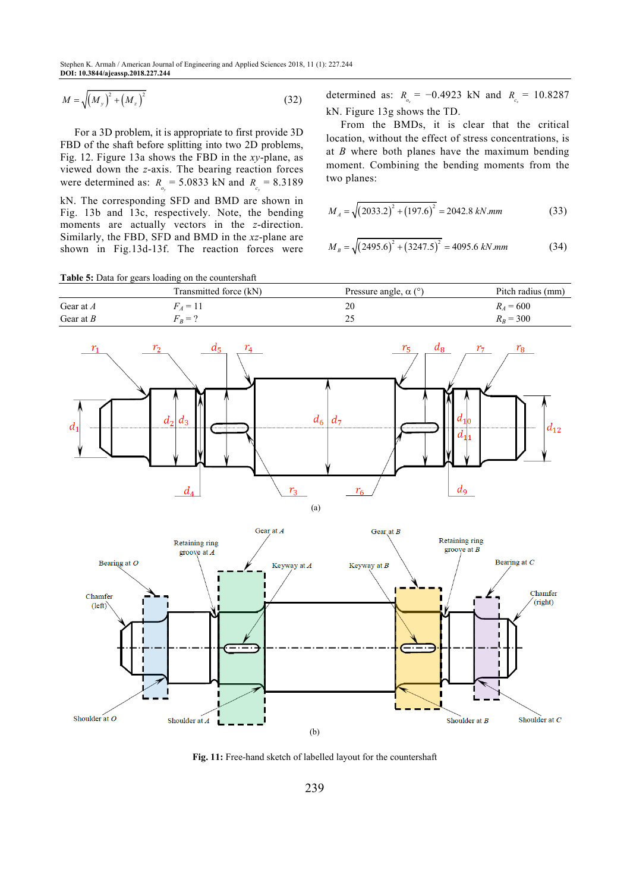$$
M = \sqrt{(M_y)^2 + (M_z)^2}
$$
 (32)

For a 3D problem, it is appropriate to first provide 3D FBD of the shaft before splitting into two 2D problems, Fig. 12. Figure 13a shows the FBD in the *xy*-plane, as viewed down the *z*-axis. The bearing reaction forces were determined as:  $R_{o_y} = 5.0833$  kN and  $R_{o_y} = 8.3189$ kN. The corresponding SFD and BMD are shown in Fig. 13b and 13c, respectively. Note, the bending moments are actually vectors in the *z*-direction. Similarly, the FBD, SFD and BMD in the *xz*-plane are shown in Fig.13d-13f. The reaction forces were

determined as:  $R_{o_z} = -0.4923$  kN and  $R_{o_z} = 10.8287$ kN. Figure 13g shows the TD.

From the BMDs, it is clear that the critical location, without the effect of stress concentrations, is at *B* where both planes have the maximum bending moment. Combining the bending moments from the two planes:

$$
M_A = \sqrt{(2033.2)^2 + (197.6)^2} = 2042.8 \text{ kN} \cdot \text{mm}
$$
 (33)

$$
M_B = \sqrt{(2495.6)^2 + (3247.5)^2} = 4095.6 \text{ kN.mm}
$$
 (34)



**Fig. 11:** Free-hand sketch of labelled layout for the countershaft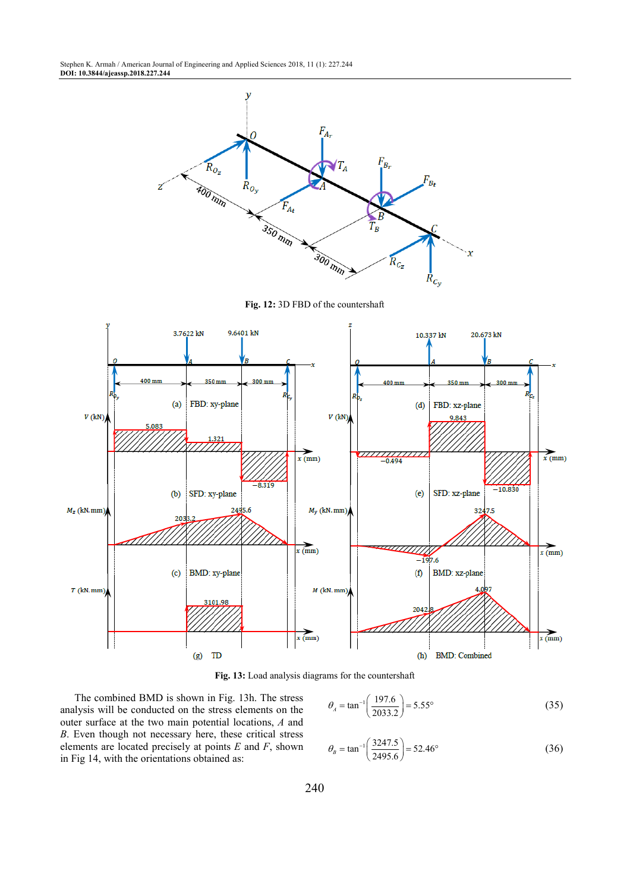





**Fig. 13:** Load analysis diagrams for the countershaft

The combined BMD is shown in Fig. 13h. The stress analysis will be conducted on the stress elements on the outer surface at the two main potential locations, *A* and *B*. Even though not necessary here, these critical stress elements are located precisely at points *E* and *F*, shown in Fig 14, with the orientations obtained as:

$$
\theta_A = \tan^{-1} \left( \frac{197.6}{2033.2} \right) = 5.55^{\circ}
$$
 (35)

$$
\theta_B = \tan^{-1} \left( \frac{3247.5}{2495.6} \right) = 52.46^{\circ}
$$
 (36)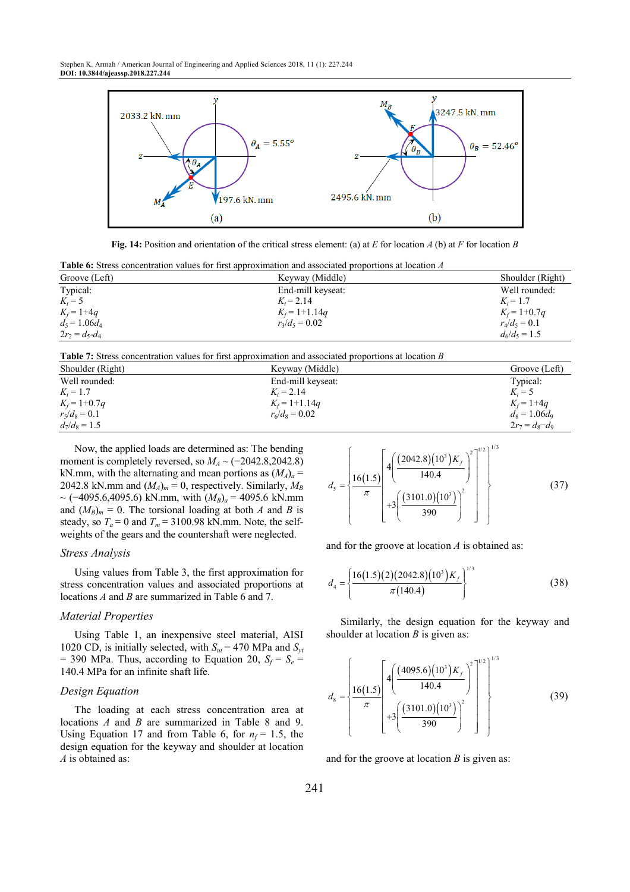

**Fig. 14:** Position and orientation of the critical stress element: (a) at *E* for location *A* (b) at *F* for location *B*

| <b>Table 6:</b> Stress concentration values for first approximation and associated proportions at location A |  |  |  |
|--------------------------------------------------------------------------------------------------------------|--|--|--|
|--------------------------------------------------------------------------------------------------------------|--|--|--|

| Groove (Left)      | Keyway (Middle)   | Shoulder (Right) |
|--------------------|-------------------|------------------|
| Typical:           | End-mill keyseat: | Well rounded:    |
| $K_t = 5$          | $K_t = 2.14$      | $K_t = 1.7$      |
| $K_f = 1 + 4q$     | $K_f = 1 + 1.14q$ | $K_f = 1 + 0.7q$ |
| $d_5 = 1.06d_4$    | $r_3/d_5 = 0.02$  | $r_4/d_5 = 0.1$  |
| $2r_2 = d_5 - d_4$ |                   | $d_6/d_5 = 1.5$  |

| Table 7: Stress concentration values for first approximation and associated proportions at location $B$ |  |  |
|---------------------------------------------------------------------------------------------------------|--|--|
|---------------------------------------------------------------------------------------------------------|--|--|

| Shoulder (Right)    | Keyway (Middle)              | Groove (Left)      |
|---------------------|------------------------------|--------------------|
| Well rounded:       | End-mill keyseat:            | Typical:           |
| $K_t = 1.7$         | $K_t = 2.14$                 | $K_t = 5$          |
| $K_f = 1 + 0.7q$    | $K_f = 1 + 1.14q$            | $K_f = 1 + 4q$     |
| $r_{5}/d_{8} = 0.1$ | $r_{\rm g}/d_{\rm g} = 0.02$ | $d_8 = 1.06d_9$    |
| $d_7/d_8 = 1.5$     |                              | $2r_7 = d_8 - d_9$ |

Now, the applied loads are determined as: The bending moment is completely reversed, so  $M_A \sim (-2042.8, 2042.8)$ kN.mm, with the alternating and mean portions as  $(M_A)_a$  = 2042.8 kN.mm and  $(M_A)_m = 0$ , respectively. Similarly,  $M_B$ ~ (−4095.6,4095.6) kN.mm, with (*MB*)*a* = 4095.6 kN.mm and  $(M_B)_{m} = 0$ . The torsional loading at both *A* and *B* is steady, so  $T_a = 0$  and  $T_m = 3100.98$  kN.mm. Note, the selfweights of the gears and the countershaft were neglected.

# *Stress Analysis*

Using values from Table 3, the first approximation for stress concentration values and associated proportions at locations *A* and *B* are summarized in Table 6 and 7.

### *Material Properties*

Using Table 1, an inexpensive steel material, AISI 1020 CD, is initially selected, with  $S_{\nu t} = 470$  MPa and  $S_{\nu t}$  $=$  390 MPa. Thus, according to Equation 20,  $S_f = S_e$ 140.4 MPa for an infinite shaft life.

# *Design Equation*

The loading at each stress concentration area at locations *A* and *B* are summarized in Table 8 and 9. Using Equation 17 and from Table 6, for  $n_f = 1.5$ , the design equation for the keyway and shoulder at location *A* is obtained as:

$$
d_{5} = \left\{\frac{16(1.5)}{\pi} \left[ 4 \left( \frac{(2042.8)(10^{3}) K_{f}}{140.4} \right)^{2} \right]^{1/2} \right\}^{1/3}
$$
\n
$$
+3 \left( \frac{(3101.0)(10^{3})}{390} \right)^{2} \right\}
$$
\n(37)

and for the groove at location *A* is obtained as:

$$
d_4 = \left\{ \frac{16(1.5)(2)(2042.8)(10^3)K_f}{\pi(140.4)} \right\}^{1/3}
$$
(38)

Similarly, the design equation for the keyway and shoulder at location *B* is given as:

$$
d_8 = \left\{ \frac{16(1.5)}{\pi} \left[ 4 \left( \frac{(4095.6)(10^3)K_f}{140.4} \right)^2 \right]^{1/2} \right\}^{1/3}
$$
(39)

and for the groove at location *B* is given as: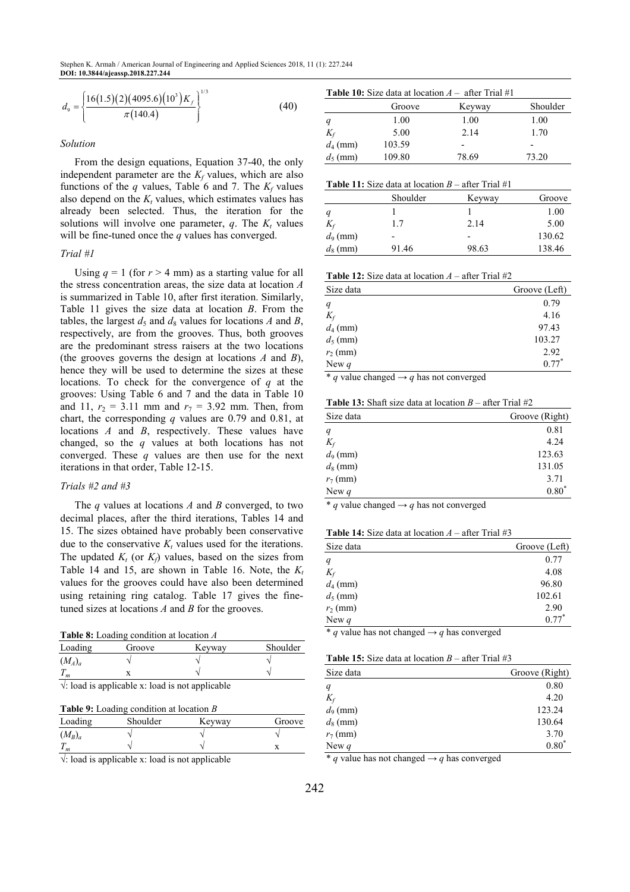$$
d_9 = \left\{ \frac{16(1.5)(2)(4095.6)(10^3)K_f}{\pi(140.4)} \right\}^{1/3}
$$
(40)

### *Solution*

From the design equations, Equation 37-40, the only independent parameter are the  $K_f$  values, which are also functions of the  $q$  values, Table 6 and 7. The  $K_f$  values also depend on the  $K_t$  values, which estimates values has already been selected. Thus, the iteration for the solutions will involve one parameter,  $q$ . The  $K_t$  values will be fine-tuned once the *q* values has converged.

#### *Trial #1*

Using  $q = 1$  (for  $r > 4$  mm) as a starting value for all the stress concentration areas, the size data at location *A*  is summarized in Table 10, after first iteration. Similarly, Table 11 gives the size data at location *B*. From the tables, the largest  $d_5$  and  $d_8$  values for locations *A* and *B*, respectively, are from the grooves. Thus, both grooves are the predominant stress raisers at the two locations (the grooves governs the design at locations *A* and *B*), hence they will be used to determine the sizes at these locations. To check for the convergence of *q* at the grooves: Using Table 6 and 7 and the data in Table 10 and 11,  $r_2 = 3.11$  mm and  $r_7 = 3.92$  mm. Then, from chart, the corresponding *q* values are 0.79 and 0.81, at locations *A* and *B*, respectively. These values have changed, so the *q* values at both locations has not converged. These *q* values are then use for the next iterations in that order, Table 12-15.

### *Trials #2 and #3*

The *q* values at locations *A* and *B* converged, to two decimal places, after the third iterations, Tables 14 and 15. The sizes obtained have probably been conservative due to the conservative  $K_t$  values used for the iterations. The updated  $K_t$  (or  $K_f$ ) values, based on the sizes from Table 14 and 15, are shown in Table 16. Note, the *K<sup>t</sup>* values for the grooves could have also been determined using retaining ring catalog. Table 17 gives the finetuned sizes at locations *A* and *B* for the grooves.

Loading Groove Keyway Shoulder

Loading Shoulder Keyway Groove

**Table 8:** Loading condition at location *A* 

| $(M_A)_a$ |                                                           |  |
|-----------|-----------------------------------------------------------|--|
| $T_m$     |                                                           |  |
|           | $\sqrt{ }$ : load is applicable x: load is not applicable |  |

| <b>Table 9:</b> Loading condition at location $B$ |  |
|---------------------------------------------------|--|
|---------------------------------------------------|--|

| $(M_B)_a$         |  |  |
|-------------------|--|--|
| $\tau$<br>$\pm m$ |  |  |
|                   |  |  |

 $\sqrt{ }$ : load is applicable x: load is not applicable

|            |        | <b>Table 10:</b> Size data at location $A$ – after Trial #1 |          |
|------------|--------|-------------------------------------------------------------|----------|
|            | Groove | Keyway                                                      | Shoulder |
| q          | 1.00   | 1.00                                                        | 1.00     |
| $K_f$      | 5.00   | 2.14                                                        | 1.70     |
| $d_4$ (mm) | 103.59 |                                                             |          |
| $d_5$ (mm) | 109.80 | 78.69                                                       | 73.20    |

|            | <b>Table 11:</b> Size data at location $B$ – after Trial #1 |        |        |
|------------|-------------------------------------------------------------|--------|--------|
|            | Shoulder                                                    | Keyway | Groove |
| q          |                                                             |        | 1.00   |
| $K_f$      | 1.7                                                         | 2.14   | 5.00   |
| $d_9$ (mm) | -                                                           |        | 130.62 |
| $d_8$ (mm) | 91.46                                                       | 98.63  | 138.46 |

**Table 12:** Size data at location *A* – after Trial #2

| Size data                            | Groove (Left) |
|--------------------------------------|---------------|
| q                                    | 0.79          |
| $K_f$                                | 4.16          |
| $d_4$ (mm)                           | 97.43         |
| $d_5$ (mm)                           | 103.27        |
| $r_2$ (mm)                           | 2.92          |
| New $q$                              | $0.77^*$      |
| als:<br>$\mathbf{I}$<br>$\mathbf{1}$ | $\mathbf{I}$  |

\* *q* value changed  $\rightarrow$  *q* has not converged

**Table 13:** Shaft size data at location  $B$  – after Trial  $#2$ 

| Size data  | Groove (Right) |
|------------|----------------|
| q          | 0.81           |
| $K_f$      | 4.24           |
| $d_9$ (mm) | 123.63         |
| $d_8$ (mm) | 131.05         |
| $r_7$ (mm) | 3.71           |
| New $q$    | $0.80*$        |

\* *q* value changed  $\rightarrow$  *q* has not converged

**Table 14:** Size data at location *A* – after Trial #3

| Size data  | Groove (Left) |
|------------|---------------|
| q          | 0.77          |
| $K_f$      | 4.08          |
| $d_4$ (mm) | 96.80         |
| $d_5$ (mm) | 102.61        |
| $r_2$ (mm) | 2.90          |
| New $q$    | 0.77          |

 $*$  *q* value has not changed  $\rightarrow$  *q* has converged

|  | <b>Table 15:</b> Size data at location $B$ – after Trial #3 |  |  |  |  |  |  |  |
|--|-------------------------------------------------------------|--|--|--|--|--|--|--|
|--|-------------------------------------------------------------|--|--|--|--|--|--|--|

| Size data  | Groove (Right) |
|------------|----------------|
| q          | 0.80           |
| $K_f$      | 4.20           |
| $d_9$ (mm) | 123.24         |
| $d_8$ (mm) | 130.64         |
| $r_7$ (mm) | 3.70           |
| New $q$    | $0.80*$        |

\* *q* value has not changed  $\rightarrow$  *q* has converged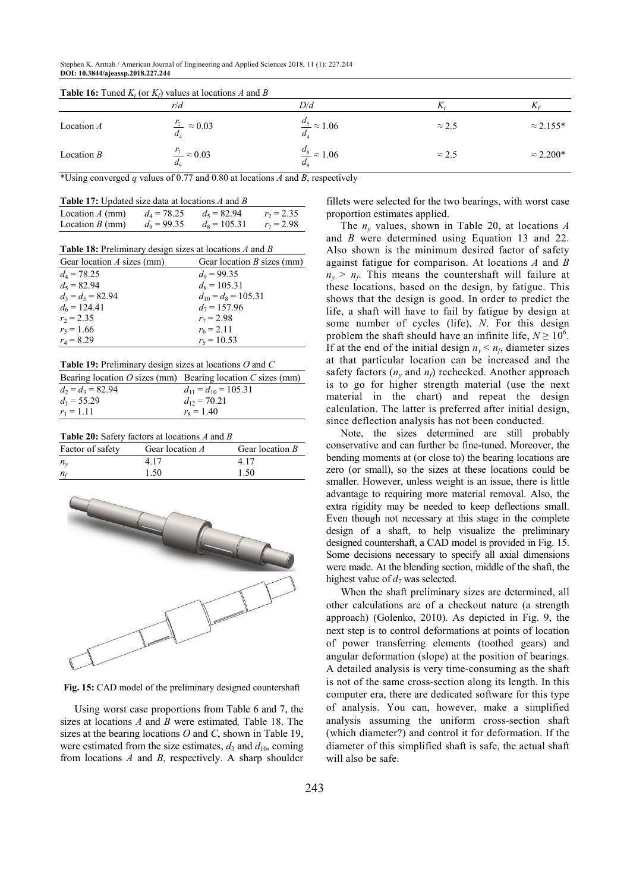| <b>Table 16:</b> Tuned $K_t$ (or $K_f$ ) values at locations A and B |                                                              |                                              |               |                  |
|----------------------------------------------------------------------|--------------------------------------------------------------|----------------------------------------------|---------------|------------------|
|                                                                      | r/d                                                          | D/d                                          |               |                  |
| Location $A$                                                         | $\frac{r_2}{r_1} \approx 0.03$<br>$d_{\scriptscriptstyle A}$ | $\frac{a_5}{a} \approx 1.06$                 | $\approx$ 2.5 | $\approx 2.155*$ |
| Location $B$                                                         | $\frac{r_7}{4} \approx 0.03$<br>$d_{\alpha}$                 | $\frac{d_8}{ } \approx 1.06$<br>$d_{\alpha}$ | $\approx$ 2.5 | $\approx$ 2.200* |

\*Using converged *q* values of 0.77 and 0.80 at locations *A* and *B*, respectively

|  |  | <b>Table 17:</b> Updated size data at locations $\vec{A}$ and $\vec{B}$ |  |
|--|--|-------------------------------------------------------------------------|--|
|  |  |                                                                         |  |

| Location $A$ (mm) | $d_4 = 78.25$ | $d_5 = 82.94$  | $r_2 = 2.35$ |
|-------------------|---------------|----------------|--------------|
| Location $B$ (mm) | $d_9 = 99.35$ | $d_8 = 105.31$ | $r_7 = 2.98$ |
|                   |               |                |              |

| <b>Table 18:</b> Preliminary design sizes at locations A and B |                              |  |  |  |
|----------------------------------------------------------------|------------------------------|--|--|--|
| Gear location $\vec{A}$ sizes (mm)                             | Gear location $B$ sizes (mm) |  |  |  |
| $d_4 = 78.25$                                                  | $d_9 = 99.35$                |  |  |  |
| $d_5 = 82.94$                                                  | $d_8$ = 105.31               |  |  |  |
| $d_3 = d_5 = 82.94$                                            | $d_{10} = d_8 = 105.31$      |  |  |  |
| $d_6 = 124.41$                                                 | $d_7$ = 157.96               |  |  |  |
| $r_2 = 2.35$                                                   | $r_7$ = 2.98                 |  |  |  |
| $r_3 = 1.66$                                                   | $r_6$ = 2.11                 |  |  |  |
| $r_4 = 8.29$                                                   | $r_5 = 10.53$                |  |  |  |

| <b>Table 19:</b> Preliminary design sizes at locations $O$ and $C$ |                                                                 |
|--------------------------------------------------------------------|-----------------------------------------------------------------|
|                                                                    | Bearing location $O$ sizes (mm) Bearing location $C$ sizes (mm) |
| $d_2 = d_3 = 82.94$                                                | $d_{11} = d_{10} = 105.31$                                      |
| $d_1 = 55.29$                                                      | $d_{12} = 70.21$                                                |
| $r_1 = 1.11$                                                       | $r_8 = 1.40$                                                    |

| <b>Table 20:</b> Safety factors at locations A and B |  |  |  |
|------------------------------------------------------|--|--|--|
|------------------------------------------------------|--|--|--|

| Factor of safety | Gear location A | Gear location $B$ |
|------------------|-----------------|-------------------|
| $n_{\rm v}$      | 4.17            | 4.17              |
| $n_f$            | 1.50            | 1.50              |



**Fig. 15:** CAD model of the preliminary designed countershaft

Using worst case proportions from Table 6 and 7, the sizes at locations *A* and *B* were estimated*,* Table 18. The sizes at the bearing locations *O* and *C*, shown in Table 19, were estimated from the size estimates,  $d_3$  and  $d_{10}$ , coming from locations *A* and *B*, respectively. A sharp shoulder

fillets were selected for the two bearings, with worst case proportion estimates applied.

The *n<sup>y</sup>* values, shown in Table 20, at locations *A*  and *B* were determined using Equation 13 and 22. Also shown is the minimum desired factor of safety against fatigue for comparison. At locations *A* and *B*   $n_y > n_f$ . This means the countershaft will failure at these locations, based on the design, by fatigue. This shows that the design is good. In order to predict the life, a shaft will have to fail by fatigue by design at some number of cycles (life), *N*. For this design problem the shaft should have an infinite life,  $N \ge 10^6$ . If at the end of the initial design  $n_y < n_f$ , diameter sizes at that particular location can be increased and the safety factors  $(n_y \text{ and } n_f)$  rechecked. Another approach is to go for higher strength material (use the next material in the chart) and repeat the design calculation. The latter is preferred after initial design, since deflection analysis has not been conducted.

Note, the sizes determined are still probably conservative and can further be fine-tuned. Moreover, the bending moments at (or close to) the bearing locations are zero (or small), so the sizes at these locations could be smaller. However, unless weight is an issue, there is little advantage to requiring more material removal. Also, the extra rigidity may be needed to keep deflections small. Even though not necessary at this stage in the complete design of a shaft, to help visualize the preliminary designed countershaft, a CAD model is provided in Fig. 15. Some decisions necessary to specify all axial dimensions were made. At the blending section, middle of the shaft, the highest value of *d7* was selected.

When the shaft preliminary sizes are determined, all other calculations are of a checkout nature (a strength approach) (Golenko, 2010). As depicted in Fig. 9, the next step is to control deformations at points of location of power transferring elements (toothed gears) and angular deformation (slope) at the position of bearings. A detailed analysis is very time-consuming as the shaft is not of the same cross-section along its length. In this computer era, there are dedicated software for this type of analysis. You can, however, make a simplified analysis assuming the uniform cross-section shaft (which diameter?) and control it for deformation. If the diameter of this simplified shaft is safe, the actual shaft will also be safe.